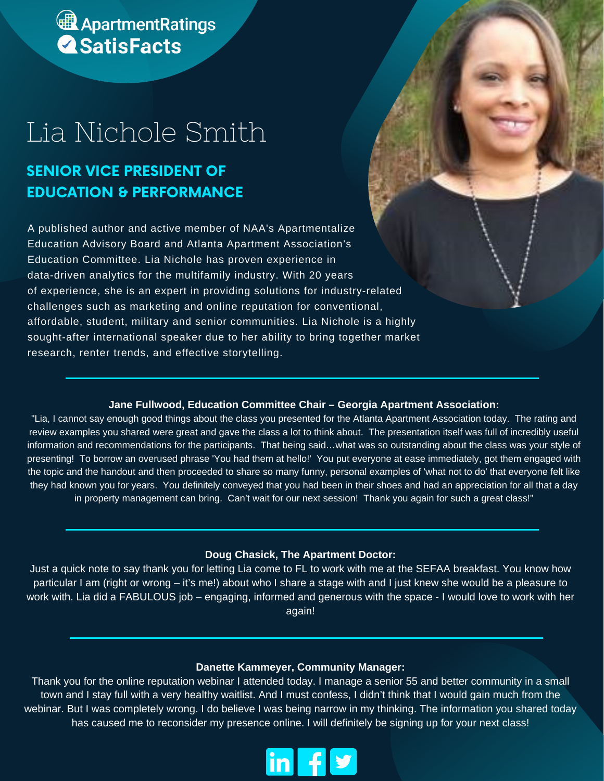# **A** Apartment Ratings

# Lia Nichole Smith

### **SENIOR VICE PRESIDENT OF EDUCATION & PERFORMANCE**

A published author and active member of NAA's Apartmentalize Education Advisory Board and Atlanta Apartment Association's Education Committee. Lia Nichole has proven experience in data-driven analytics for the multifamily industry. With 20 years of experience, she is an expert in providing solutions for industry-related challenges such as marketing and online reputation for conventional, affordable, student, military and senior communities. Lia Nichole is a highly sought-after international speaker due to her ability to bring together market research, renter trends, and effective storytelling.

#### **Jane Fullwood, Education Committee Chair – Georgia Apartment Association:**

"Lia, I cannot say enough good things about the class you presented for the Atlanta Apartment Association today. The rating and review examples you shared were great and gave the class a lot to think about. The presentation itself was full of incredibly useful information and recommendations for the participants. That being said…what was so outstanding about the class was your style of presenting! To borrow an overused phrase 'You had them at hello!' You put everyone at ease immediately, got them engaged with the topic and the handout and then proceeded to share so many funny, personal examples of 'what not to do' that everyone felt like they had known you for years. You definitely conveyed that you had been in their shoes and had an appreciation for all that a day in property management can bring. Can't wait for our next session! Thank you again for such a great class!"

#### **Doug Chasick, The Apartment Doctor:**

Just a quick note to say thank you for letting Lia come to FL to work with me at the SEFAA breakfast. You know how particular I am (right or wrong – it's me!) about who I share a stage with and I just knew she would be a pleasure to work with. Lia did a FABULOUS job – engaging, informed and generous with the space - I would love to work with her again!

#### **Danette Kammeyer, Community Manager:**

Thank you for the online reputation webinar I attended today. I manage a senior 55 and better community in a small town and I stay full with a very healthy waitlist. And I must confess, I didn't think that I would gain much from the webinar. But I was completely wrong. I do believe I was being narrow in my thinking. The information you shared today has caused me to reconsider my presence online. I will definitely be signing up for your next class!